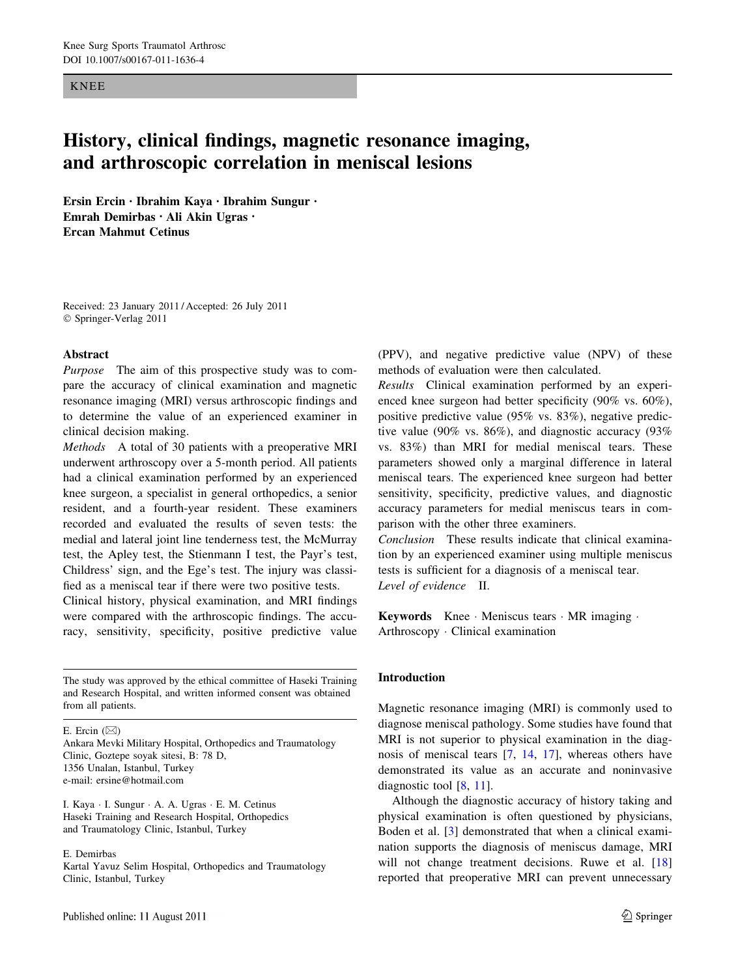KNEE

# History, clinical findings, magnetic resonance imaging, and arthroscopic correlation in meniscal lesions

Ersin Ercin • Ibrahim Kaya • Ibrahim Sungur • Emrah Demirbas • Ali Akin Ugras • Ercan Mahmut Cetinus

Received: 23 January 2011 / Accepted: 26 July 2011 © Springer-Verlag 2011

#### Abstract

Purpose The aim of this prospective study was to compare the accuracy of clinical examination and magnetic resonance imaging (MRI) versus arthroscopic findings and to determine the value of an experienced examiner in clinical decision making.

Methods A total of 30 patients with a preoperative MRI underwent arthroscopy over a 5-month period. All patients had a clinical examination performed by an experienced knee surgeon, a specialist in general orthopedics, a senior resident, and a fourth-year resident. These examiners recorded and evaluated the results of seven tests: the medial and lateral joint line tenderness test, the McMurray test, the Apley test, the Stienmann I test, the Payr's test, Childress' sign, and the Ege's test. The injury was classified as a meniscal tear if there were two positive tests.

Clinical history, physical examination, and MRI findings were compared with the arthroscopic findings. The accuracy, sensitivity, specificity, positive predictive value

The study was approved by the ethical committee of Haseki Training and Research Hospital, and written informed consent was obtained from all patients.

E. Ercin  $(\boxtimes)$ 

Ankara Mevki Military Hospital, Orthopedics and Traumatology Clinic, Goztepe soyak sitesi, B: 78 D, 1356 Unalan, Istanbul, Turkey e-mail: ersine@hotmail.com

I. Kaya - I. Sungur - A. A. Ugras - E. M. Cetinus Haseki Training and Research Hospital, Orthopedics and Traumatology Clinic, Istanbul, Turkey

E. Demirbas

Kartal Yavuz Selim Hospital, Orthopedics and Traumatology Clinic, Istanbul, Turkey

(PPV), and negative predictive value (NPV) of these methods of evaluation were then calculated.

Results Clinical examination performed by an experienced knee surgeon had better specificity (90% vs. 60%), positive predictive value (95% vs. 83%), negative predictive value (90% vs. 86%), and diagnostic accuracy (93% vs. 83%) than MRI for medial meniscal tears. These parameters showed only a marginal difference in lateral meniscal tears. The experienced knee surgeon had better sensitivity, specificity, predictive values, and diagnostic accuracy parameters for medial meniscus tears in comparison with the other three examiners.

Conclusion These results indicate that clinical examination by an experienced examiner using multiple meniscus tests is sufficient for a diagnosis of a meniscal tear. Level of evidence II.

Keywords Knee · Meniscus tears · MR imaging · Arthroscopy - Clinical examination

## Introduction

Magnetic resonance imaging (MRI) is commonly used to diagnose meniscal pathology. Some studies have found that MRI is not superior to physical examination in the diagnosis of meniscal tears [\[7](#page-4-0), [14](#page-5-0), [17](#page-5-0)], whereas others have demonstrated its value as an accurate and noninvasive diagnostic tool [[8,](#page-4-0) [11\]](#page-4-0).

Although the diagnostic accuracy of history taking and physical examination is often questioned by physicians, Boden et al. [[3\]](#page-4-0) demonstrated that when a clinical examination supports the diagnosis of meniscus damage, MRI will not change treatment decisions. Ruwe et al. [[18\]](#page-5-0) reported that preoperative MRI can prevent unnecessary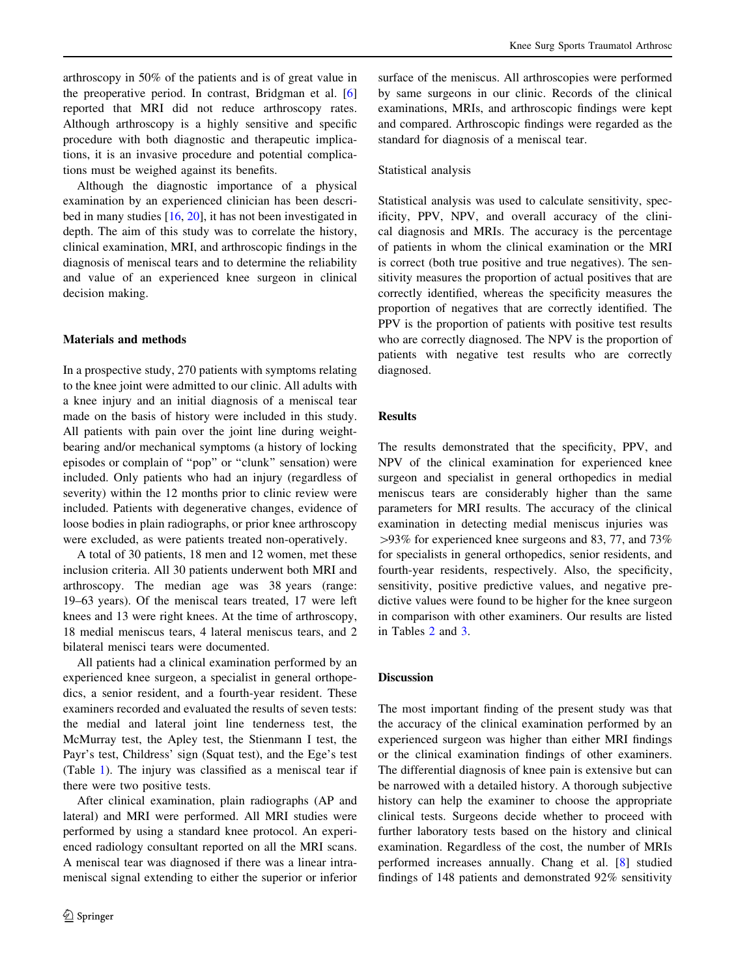Although the diagnostic importance of a physical examination by an experienced clinician has been described in many studies [[16,](#page-5-0) [20\]](#page-5-0), it has not been investigated in depth. The aim of this study was to correlate the history, clinical examination, MRI, and arthroscopic findings in the diagnosis of meniscal tears and to determine the reliability and value of an experienced knee surgeon in clinical decision making.

# Materials and methods

In a prospective study, 270 patients with symptoms relating to the knee joint were admitted to our clinic. All adults with a knee injury and an initial diagnosis of a meniscal tear made on the basis of history were included in this study. All patients with pain over the joint line during weightbearing and/or mechanical symptoms (a history of locking episodes or complain of ''pop'' or ''clunk'' sensation) were included. Only patients who had an injury (regardless of severity) within the 12 months prior to clinic review were included. Patients with degenerative changes, evidence of loose bodies in plain radiographs, or prior knee arthroscopy were excluded, as were patients treated non-operatively.

A total of 30 patients, 18 men and 12 women, met these inclusion criteria. All 30 patients underwent both MRI and arthroscopy. The median age was 38 years (range: 19–63 years). Of the meniscal tears treated, 17 were left knees and 13 were right knees. At the time of arthroscopy, 18 medial meniscus tears, 4 lateral meniscus tears, and 2 bilateral menisci tears were documented.

All patients had a clinical examination performed by an experienced knee surgeon, a specialist in general orthopedics, a senior resident, and a fourth-year resident. These examiners recorded and evaluated the results of seven tests: the medial and lateral joint line tenderness test, the McMurray test, the Apley test, the Stienmann I test, the Payr's test, Childress' sign (Squat test), and the Ege's test (Table [1](#page-2-0)). The injury was classified as a meniscal tear if there were two positive tests.

After clinical examination, plain radiographs (AP and lateral) and MRI were performed. All MRI studies were performed by using a standard knee protocol. An experienced radiology consultant reported on all the MRI scans. A meniscal tear was diagnosed if there was a linear intrameniscal signal extending to either the superior or inferior

surface of the meniscus. All arthroscopies were performed by same surgeons in our clinic. Records of the clinical examinations, MRIs, and arthroscopic findings were kept and compared. Arthroscopic findings were regarded as the standard for diagnosis of a meniscal tear.

# Statistical analysis

Statistical analysis was used to calculate sensitivity, specificity, PPV, NPV, and overall accuracy of the clinical diagnosis and MRIs. The accuracy is the percentage of patients in whom the clinical examination or the MRI is correct (both true positive and true negatives). The sensitivity measures the proportion of actual positives that are correctly identified, whereas the specificity measures the proportion of negatives that are correctly identified. The PPV is the proportion of patients with positive test results who are correctly diagnosed. The NPV is the proportion of patients with negative test results who are correctly diagnosed.

# Results

The results demonstrated that the specificity, PPV, and NPV of the clinical examination for experienced knee surgeon and specialist in general orthopedics in medial meniscus tears are considerably higher than the same parameters for MRI results. The accuracy of the clinical examination in detecting medial meniscus injuries was  $>93\%$  for experienced knee surgeons and 83, 77, and 73% for specialists in general orthopedics, senior residents, and fourth-year residents, respectively. Also, the specificity, sensitivity, positive predictive values, and negative predictive values were found to be higher for the knee surgeon in comparison with other examiners. Our results are listed in Tables [2](#page-3-0) and [3](#page-4-0).

## Discussion

The most important finding of the present study was that the accuracy of the clinical examination performed by an experienced surgeon was higher than either MRI findings or the clinical examination findings of other examiners. The differential diagnosis of knee pain is extensive but can be narrowed with a detailed history. A thorough subjective history can help the examiner to choose the appropriate clinical tests. Surgeons decide whether to proceed with further laboratory tests based on the history and clinical examination. Regardless of the cost, the number of MRIs performed increases annually. Chang et al. [\[8](#page-4-0)] studied findings of 148 patients and demonstrated 92% sensitivity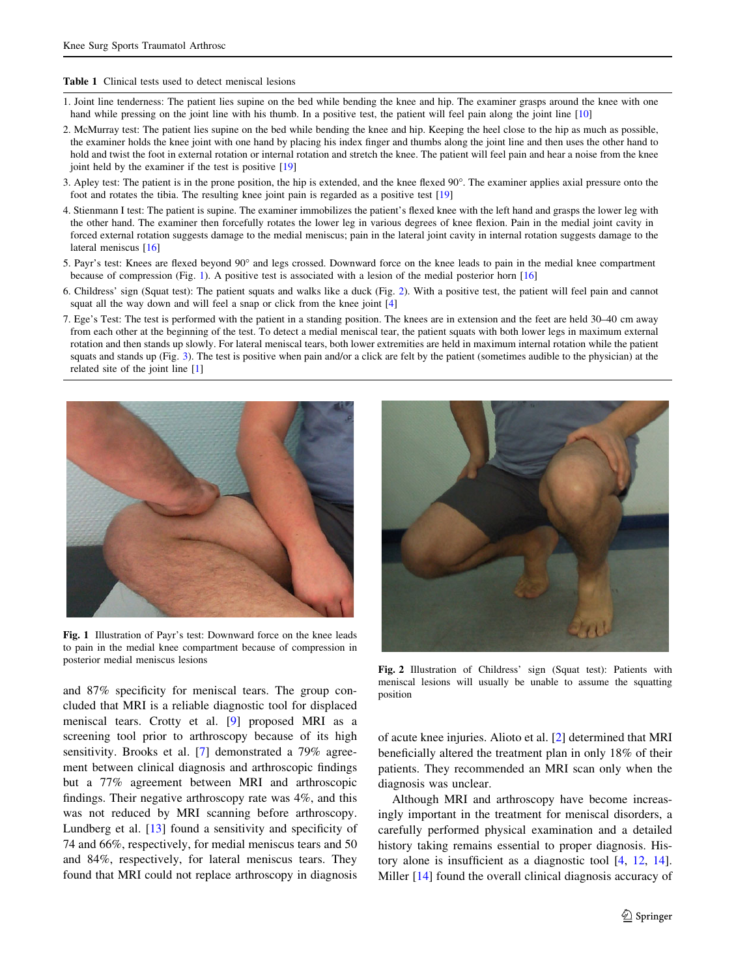#### <span id="page-2-0"></span>Table 1 Clinical tests used to detect meniscal lesions

- 1. Joint line tenderness: The patient lies supine on the bed while bending the knee and hip. The examiner grasps around the knee with one hand while pressing on the joint line with his thumb. In a positive test, the patient will feel pain along the joint line [\[10\]](#page-4-0)
- 2. McMurray test: The patient lies supine on the bed while bending the knee and hip. Keeping the heel close to the hip as much as possible, the examiner holds the knee joint with one hand by placing his index finger and thumbs along the joint line and then uses the other hand to hold and twist the foot in external rotation or internal rotation and stretch the knee. The patient will feel pain and hear a noise from the knee joint held by the examiner if the test is positive [[19](#page-5-0)]
- 3. Apley test: The patient is in the prone position, the hip is extended, and the knee flexed 90°. The examiner applies axial pressure onto the foot and rotates the tibia. The resulting knee joint pain is regarded as a positive test [[19](#page-5-0)]
- 4. Stienmann I test: The patient is supine. The examiner immobilizes the patient's flexed knee with the left hand and grasps the lower leg with the other hand. The examiner then forcefully rotates the lower leg in various degrees of knee flexion. Pain in the medial joint cavity in forced external rotation suggests damage to the medial meniscus; pain in the lateral joint cavity in internal rotation suggests damage to the lateral meniscus [\[16\]](#page-5-0)
- 5. Payr's test: Knees are flexed beyond 90 and legs crossed. Downward force on the knee leads to pain in the medial knee compartment because of compression (Fig. 1). A positive test is associated with a lesion of the medial posterior horn [[16](#page-5-0)]
- 6. Childress' sign (Squat test): The patient squats and walks like a duck (Fig. 2). With a positive test, the patient will feel pain and cannot squat all the way down and will feel a snap or click from the knee joint [[4\]](#page-4-0)
- 7. Ege's Test: The test is performed with the patient in a standing position. The knees are in extension and the feet are held 30–40 cm away from each other at the beginning of the test. To detect a medial meniscal tear, the patient squats with both lower legs in maximum external rotation and then stands up slowly. For lateral meniscal tears, both lower extremities are held in maximum internal rotation while the patient squats and stands up (Fig. [3](#page-3-0)). The test is positive when pain and/or a click are felt by the patient (sometimes audible to the physician) at the related site of the joint line [[1\]](#page-4-0)



Fig. 1 Illustration of Payr's test: Downward force on the knee leads to pain in the medial knee compartment because of compression in posterior medial meniscus lesions

and 87% specificity for meniscal tears. The group concluded that MRI is a reliable diagnostic tool for displaced meniscal tears. Crotty et al. [[9\]](#page-4-0) proposed MRI as a screening tool prior to arthroscopy because of its high sensitivity. Brooks et al. [\[7](#page-4-0)] demonstrated a 79% agreement between clinical diagnosis and arthroscopic findings but a 77% agreement between MRI and arthroscopic findings. Their negative arthroscopy rate was 4%, and this was not reduced by MRI scanning before arthroscopy. Lundberg et al. [\[13](#page-4-0)] found a sensitivity and specificity of 74 and 66%, respectively, for medial meniscus tears and 50 and 84%, respectively, for lateral meniscus tears. They found that MRI could not replace arthroscopy in diagnosis



Fig. 2 Illustration of Childress' sign (Squat test): Patients with meniscal lesions will usually be unable to assume the squatting position

of acute knee injuries. Alioto et al. [[2\]](#page-4-0) determined that MRI beneficially altered the treatment plan in only 18% of their patients. They recommended an MRI scan only when the diagnosis was unclear.

Although MRI and arthroscopy have become increasingly important in the treatment for meniscal disorders, a carefully performed physical examination and a detailed history taking remains essential to proper diagnosis. History alone is insufficient as a diagnostic tool [\[4](#page-4-0), [12,](#page-4-0) [14](#page-5-0)]. Miller [\[14](#page-5-0)] found the overall clinical diagnosis accuracy of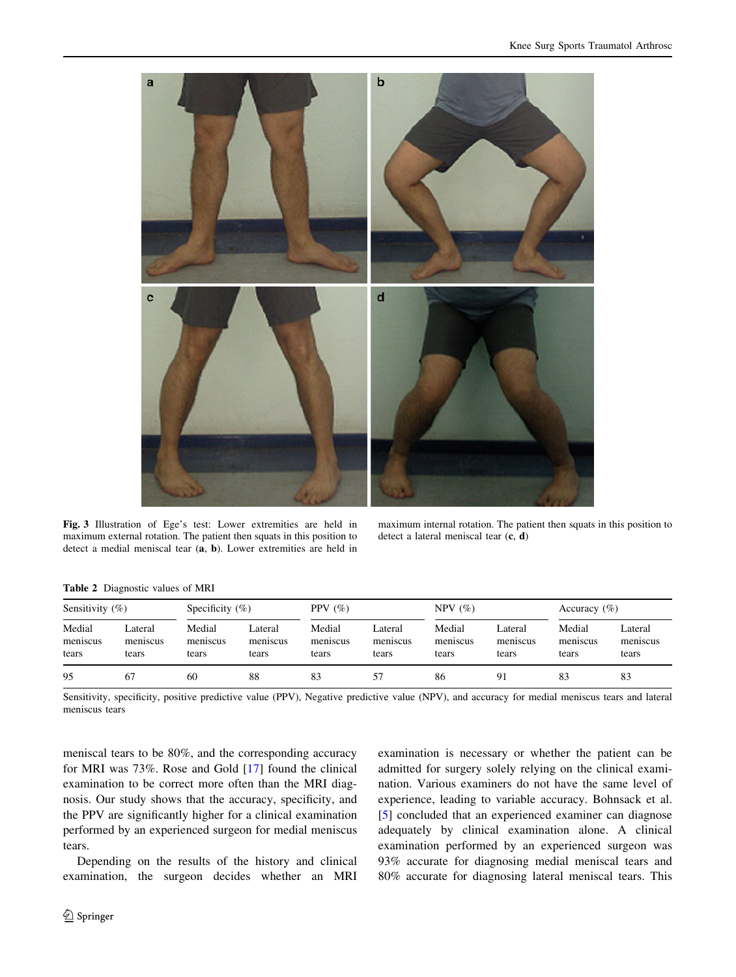<span id="page-3-0"></span>

Fig. 3 Illustration of Ege's test: Lower extremities are held in maximum external rotation. The patient then squats in this position to detect a medial meniscal tear (a, b). Lower extremities are held in

maximum internal rotation. The patient then squats in this position to detect a lateral meniscal tear (c, d)

Table 2 Diagnostic values of MRI

| Sensitivity $(\%)$          |                              | Specificity $(\%)$          |                              | PPV $(\% )$                 |                              | NPV $(\% )$                 |                              | Accuracy $(\% )$            |                              |
|-----------------------------|------------------------------|-----------------------------|------------------------------|-----------------------------|------------------------------|-----------------------------|------------------------------|-----------------------------|------------------------------|
| Medial<br>meniscus<br>tears | Lateral<br>meniscus<br>tears | Medial<br>meniscus<br>tears | Lateral<br>meniscus<br>tears | Medial<br>meniscus<br>tears | Lateral<br>meniscus<br>tears | Medial<br>meniscus<br>tears | Lateral<br>meniscus<br>tears | Medial<br>meniscus<br>tears | Lateral<br>meniscus<br>tears |
| 95                          | 67                           | 60                          | 88                           | 83                          | 57                           | 86                          | 91                           | 83                          | 83                           |

Sensitivity, specificity, positive predictive value (PPV), Negative predictive value (NPV), and accuracy for medial meniscus tears and lateral meniscus tears

meniscal tears to be 80%, and the corresponding accuracy for MRI was 73%. Rose and Gold [\[17](#page-5-0)] found the clinical examination to be correct more often than the MRI diagnosis. Our study shows that the accuracy, specificity, and the PPV are significantly higher for a clinical examination performed by an experienced surgeon for medial meniscus tears.

Depending on the results of the history and clinical examination, the surgeon decides whether an MRI examination is necessary or whether the patient can be admitted for surgery solely relying on the clinical examination. Various examiners do not have the same level of experience, leading to variable accuracy. Bohnsack et al. [\[5](#page-4-0)] concluded that an experienced examiner can diagnose adequately by clinical examination alone. A clinical examination performed by an experienced surgeon was 93% accurate for diagnosing medial meniscal tears and 80% accurate for diagnosing lateral meniscal tears. This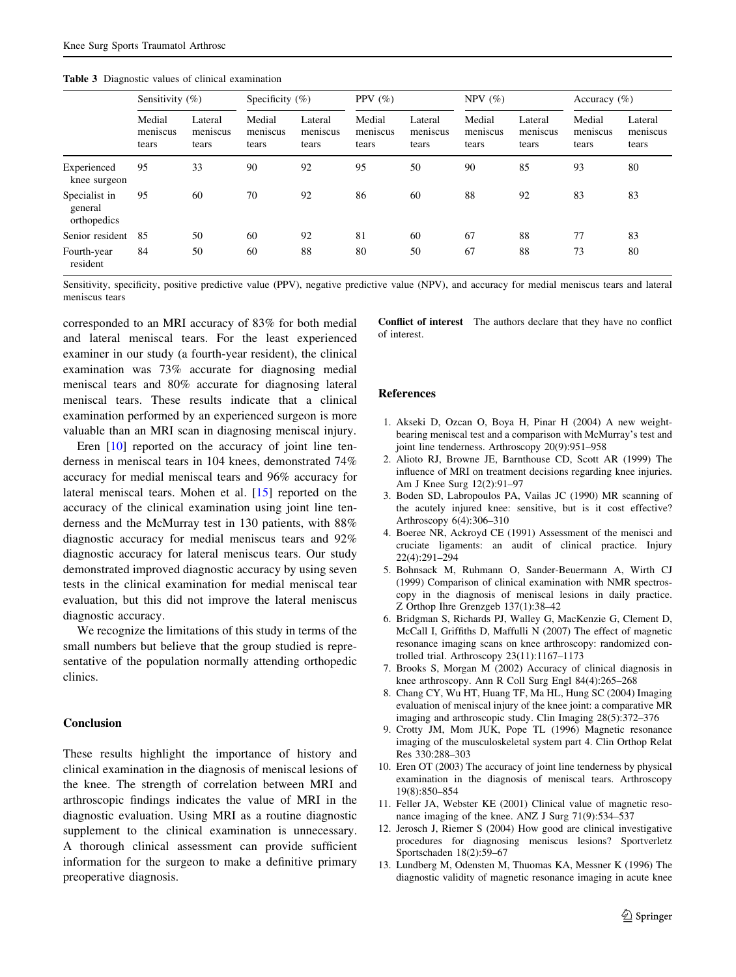<span id="page-4-0"></span>

|  |  |  |  |  | <b>Table 3</b> Diagnostic values of clinical examination |
|--|--|--|--|--|----------------------------------------------------------|
|--|--|--|--|--|----------------------------------------------------------|

|                                         | Sensitivity $(\%)$          |                              | Specificity $(\%)$          |                              | PPV $(\% )$                 |                              | NPV $(\%)$                  |                              | Accuracy $(\% )$            |                              |
|-----------------------------------------|-----------------------------|------------------------------|-----------------------------|------------------------------|-----------------------------|------------------------------|-----------------------------|------------------------------|-----------------------------|------------------------------|
|                                         | Medial<br>meniscus<br>tears | Lateral<br>meniscus<br>tears | Medial<br>meniscus<br>tears | Lateral<br>meniscus<br>tears | Medial<br>meniscus<br>tears | Lateral<br>meniscus<br>tears | Medial<br>meniscus<br>tears | Lateral<br>meniscus<br>tears | Medial<br>meniscus<br>tears | Lateral<br>meniscus<br>tears |
| Experienced<br>knee surgeon             | 95                          | 33                           | 90                          | 92                           | 95                          | 50                           | 90                          | 85                           | 93                          | 80                           |
| Specialist in<br>general<br>orthopedics | 95                          | 60                           | 70                          | 92                           | 86                          | 60                           | 88                          | 92                           | 83                          | 83                           |
| Senior resident                         | 85                          | 50                           | 60                          | 92                           | 81                          | 60                           | 67                          | 88                           | 77                          | 83                           |
| Fourth-year<br>resident                 | 84                          | 50                           | 60                          | 88                           | 80                          | 50                           | 67                          | 88                           | 73                          | 80                           |

Sensitivity, specificity, positive predictive value (PPV), negative predictive value (NPV), and accuracy for medial meniscus tears and lateral meniscus tears

corresponded to an MRI accuracy of 83% for both medial and lateral meniscal tears. For the least experienced examiner in our study (a fourth-year resident), the clinical examination was 73% accurate for diagnosing medial meniscal tears and 80% accurate for diagnosing lateral meniscal tears. These results indicate that a clinical examination performed by an experienced surgeon is more valuable than an MRI scan in diagnosing meniscal injury.

Eren [10] reported on the accuracy of joint line tenderness in meniscal tears in 104 knees, demonstrated 74% accuracy for medial meniscal tears and 96% accuracy for lateral meniscal tears. Mohen et al. [\[15](#page-5-0)] reported on the accuracy of the clinical examination using joint line tenderness and the McMurray test in 130 patients, with 88% diagnostic accuracy for medial meniscus tears and 92% diagnostic accuracy for lateral meniscus tears. Our study demonstrated improved diagnostic accuracy by using seven tests in the clinical examination for medial meniscal tear evaluation, but this did not improve the lateral meniscus diagnostic accuracy.

We recognize the limitations of this study in terms of the small numbers but believe that the group studied is representative of the population normally attending orthopedic clinics.

## Conclusion

These results highlight the importance of history and clinical examination in the diagnosis of meniscal lesions of the knee. The strength of correlation between MRI and arthroscopic findings indicates the value of MRI in the diagnostic evaluation. Using MRI as a routine diagnostic supplement to the clinical examination is unnecessary. A thorough clinical assessment can provide sufficient information for the surgeon to make a definitive primary preoperative diagnosis.

Conflict of interest The authors declare that they have no conflict of interest.

#### References

- 1. Akseki D, Ozcan O, Boya H, Pinar H (2004) A new weightbearing meniscal test and a comparison with McMurray's test and joint line tenderness. Arthroscopy 20(9):951–958
- 2. Alioto RJ, Browne JE, Barnthouse CD, Scott AR (1999) The influence of MRI on treatment decisions regarding knee injuries. Am J Knee Surg 12(2):91–97
- 3. Boden SD, Labropoulos PA, Vailas JC (1990) MR scanning of the acutely injured knee: sensitive, but is it cost effective? Arthroscopy 6(4):306–310
- 4. Boeree NR, Ackroyd CE (1991) Assessment of the menisci and cruciate ligaments: an audit of clinical practice. Injury 22(4):291–294
- 5. Bohnsack M, Ruhmann O, Sander-Beuermann A, Wirth CJ (1999) Comparison of clinical examination with NMR spectroscopy in the diagnosis of meniscal lesions in daily practice. Z Orthop Ihre Grenzgeb 137(1):38–42
- 6. Bridgman S, Richards PJ, Walley G, MacKenzie G, Clement D, McCall I, Griffiths D, Maffulli N (2007) The effect of magnetic resonance imaging scans on knee arthroscopy: randomized controlled trial. Arthroscopy 23(11):1167–1173
- 7. Brooks S, Morgan M (2002) Accuracy of clinical diagnosis in knee arthroscopy. Ann R Coll Surg Engl 84(4):265–268
- 8. Chang CY, Wu HT, Huang TF, Ma HL, Hung SC (2004) Imaging evaluation of meniscal injury of the knee joint: a comparative MR imaging and arthroscopic study. Clin Imaging 28(5):372–376
- 9. Crotty JM, Mom JUK, Pope TL (1996) Magnetic resonance imaging of the musculoskeletal system part 4. Clin Orthop Relat Res 330:288–303
- 10. Eren OT (2003) The accuracy of joint line tenderness by physical examination in the diagnosis of meniscal tears. Arthroscopy 19(8):850–854
- 11. Feller JA, Webster KE (2001) Clinical value of magnetic resonance imaging of the knee. ANZ J Surg 71(9):534–537
- 12. Jerosch J, Riemer S (2004) How good are clinical investigative procedures for diagnosing meniscus lesions? Sportverletz Sportschaden 18(2):59–67
- 13. Lundberg M, Odensten M, Thuomas KA, Messner K (1996) The diagnostic validity of magnetic resonance imaging in acute knee